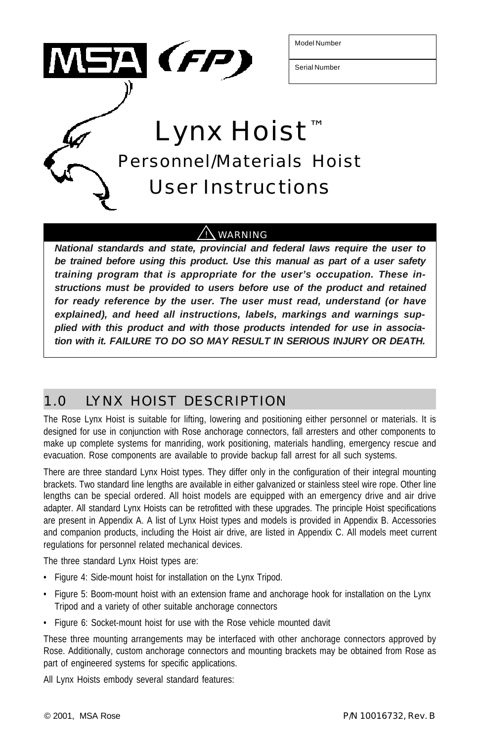

Model Number

Serial Number

Lynx Hoist ™ Personnel/Materials Hoist User Instructions

### <u>! \</u> WARNING

*National standards and state, provincial and federal laws require the user to be trained before using this product. Use this manual as part of a user safety training program that is appropriate for the user's occupation. These instructions must be provided to users before use of the product and retained for ready reference by the user. The user must read, understand (or have explained), and heed all instructions, labels, markings and warnings supplied with this product and with those products intended for use in association with it. FAILURE TO DO SO MAY RESULT IN SERIOUS INJURY OR DEATH.*

## 1.0 LYNX HOIST DESCRIPTION

The Rose Lynx Hoist is suitable for lifting, lowering and positioning either personnel or materials. It is designed for use in conjunction with Rose anchorage connectors, fall arresters and other components to make up complete systems for manriding, work positioning, materials handling, emergency rescue and evacuation. Rose components are available to provide backup fall arrest for all such systems.

There are three standard Lynx Hoist types. They differ only in the configuration of their integral mounting brackets. Two standard line lengths are available in either galvanized or stainless steel wire rope. Other line lengths can be special ordered. All hoist models are equipped with an emergency drive and air drive adapter. All standard Lynx Hoists can be retrofitted with these upgrades. The principle Hoist specifications are present in Appendix A. A list of Lynx Hoist types and models is provided in Appendix B. Accessories and companion products, including the Hoist air drive, are listed in Appendix C. All models meet current regulations for personnel related mechanical devices.

The three standard Lynx Hoist types are:

- Figure 4: Side-mount hoist for installation on the Lynx Tripod.
- Figure 5: Boom-mount hoist with an extension frame and anchorage hook for installation on the Lynx Tripod and a variety of other suitable anchorage connectors
- Figure 6: Socket-mount hoist for use with the Rose vehicle mounted davit

These three mounting arrangements may be interfaced with other anchorage connectors approved by Rose. Additionally, custom anchorage connectors and mounting brackets may be obtained from Rose as part of engineered systems for specific applications.

All Lynx Hoists embody several standard features: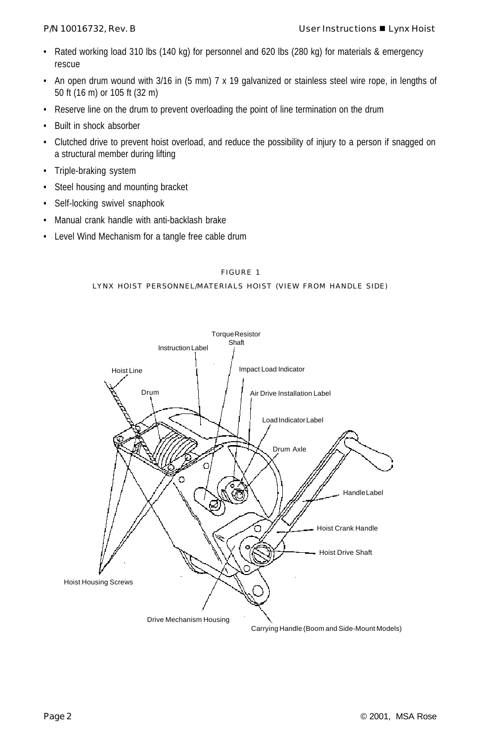- Rated working load 310 lbs (140 kg) for personnel and 620 lbs (280 kg) for materials & emergency rescue
- An open drum wound with 3/16 in (5 mm) 7 x 19 galvanized or stainless steel wire rope, in lengths of 50 ft (16 m) or 105 ft (32 m)
- Reserve line on the drum to prevent overloading the point of line termination on the drum
- Built in shock absorber
- Clutched drive to prevent hoist overload, and reduce the possibility of injury to a person if snagged on a structural member during lifting
- Triple-braking system
- Steel housing and mounting bracket
- Self-locking swivel snaphook
- Manual crank handle with anti-backlash brake
- Level Wind Mechanism for a tangle free cable drum

LYNX HOIST PERSONNEL/MATERIALS HOIST (VIEW FROM HANDLE SIDE)

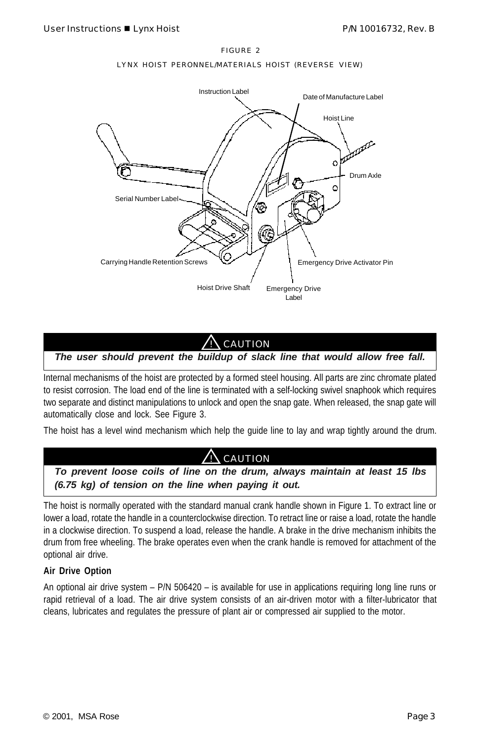#### LYNX HOIST PERONNEL/MATERIALS HOIST (REVERSE VIEW)



### **CAUTION**

*The user should prevent the buildup of slack line that would allow free fall.*

Internal mechanisms of the hoist are protected by a formed steel housing. All parts are zinc chromate plated to resist corrosion. The load end of the line is terminated with a self-locking swivel snaphook which requires two separate and distinct manipulations to unlock and open the snap gate. When released, the snap gate will automatically close and lock. See Figure 3.

The hoist has a level wind mechanism which help the guide line to lay and wrap tightly around the drum.



The hoist is normally operated with the standard manual crank handle shown in Figure 1. To extract line or lower a load, rotate the handle in a counterclockwise direction. To retract line or raise a load, rotate the handle in a clockwise direction. To suspend a load, release the handle. A brake in the drive mechanism inhibits the drum from free wheeling. The brake operates even when the crank handle is removed for attachment of the optional air drive.

#### **Air Drive Option**

An optional air drive system – P/N 506420 – is available for use in applications requiring long line runs or rapid retrieval of a load. The air drive system consists of an air-driven motor with a filter-lubricator that cleans, lubricates and regulates the pressure of plant air or compressed air supplied to the motor.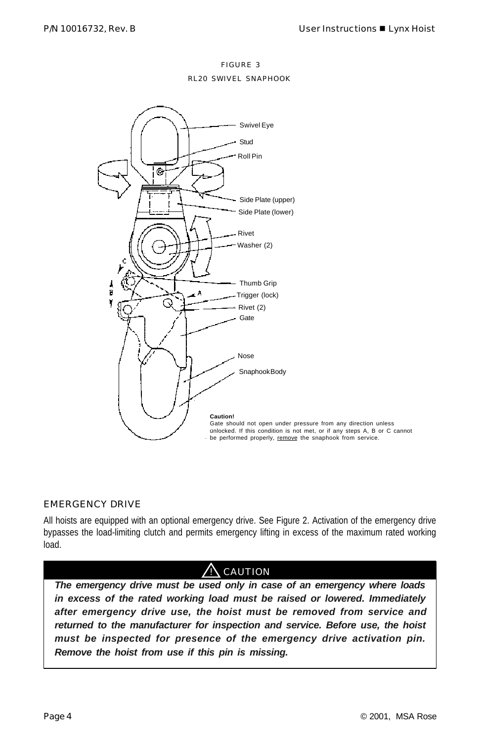RL20 SWIVEL SNAPHOOK



#### EMERGENCY DRIVE

All hoists are equipped with an optional emergency drive. See Figure 2. Activation of the emergency drive bypasses the load-limiting clutch and permits emergency lifting in excess of the maximum rated working load.

## **CAUTION**

*The emergency drive must be used only in case of an emergency where loads in excess of the rated working load must be raised or lowered. Immediately after emergency drive use, the hoist must be removed from service and returned to the manufacturer for inspection and service. Before use, the hoist must be inspected for presence of the emergency drive activation pin. Remove the hoist from use if this pin is missing.*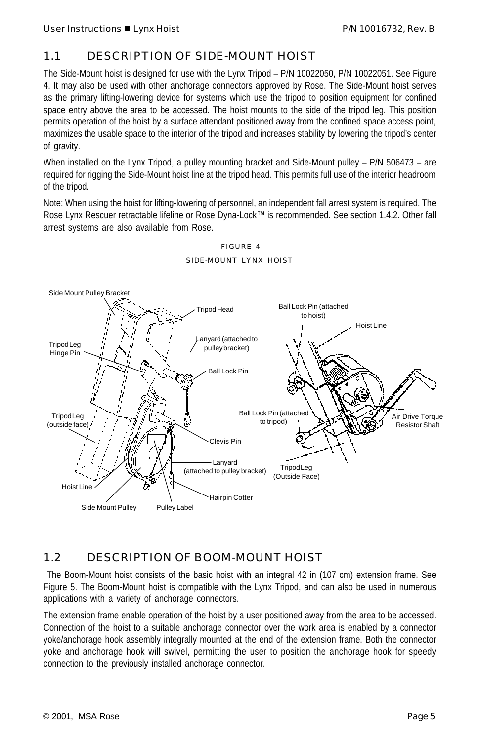### 1.1 DESCRIPTION OF SIDE-MOUNT HOIST

The Side-Mount hoist is designed for use with the Lynx Tripod – P/N 10022050, P/N 10022051. See Figure 4. It may also be used with other anchorage connectors approved by Rose. The Side-Mount hoist serves as the primary lifting-lowering device for systems which use the tripod to position equipment for confined space entry above the area to be accessed. The hoist mounts to the side of the tripod leg. This position permits operation of the hoist by a surface attendant positioned away from the confined space access point, maximizes the usable space to the interior of the tripod and increases stability by lowering the tripod's center of gravity.

When installed on the Lynx Tripod, a pulley mounting bracket and Side-Mount pulley – P/N 506473 – are required for rigging the Side-Mount hoist line at the tripod head. This permits full use of the interior headroom of the tripod.

Note: When using the hoist for lifting-lowering of personnel, an independent fall arrest system is required. The Rose Lynx Rescuer retractable lifeline or Rose Dyna-Lock™ is recommended. See section 1.4.2. Other fall arrest systems are also available from Rose.



FIGURE 4 SIDE-MOUNT LYNX HOIST

### 1.2 DESCRIPTION OF BOOM-MOUNT HOIST

 The Boom-Mount hoist consists of the basic hoist with an integral 42 in (107 cm) extension frame. See Figure 5. The Boom-Mount hoist is compatible with the Lynx Tripod, and can also be used in numerous applications with a variety of anchorage connectors.

The extension frame enable operation of the hoist by a user positioned away from the area to be accessed. Connection of the hoist to a suitable anchorage connector over the work area is enabled by a connector yoke/anchorage hook assembly integrally mounted at the end of the extension frame. Both the connector yoke and anchorage hook will swivel, permitting the user to position the anchorage hook for speedy connection to the previously installed anchorage connector.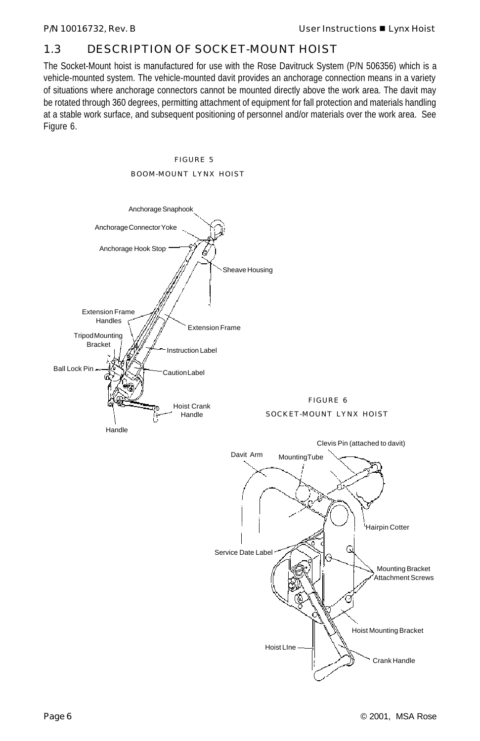### 1.3 DESCRIPTION OF SOCKET-MOUNT HOIST

The Socket-Mount hoist is manufactured for use with the Rose Davitruck System (P/N 506356) which is a vehicle-mounted system. The vehicle-mounted davit provides an anchorage connection means in a variety of situations where anchorage connectors cannot be mounted directly above the work area. The davit may be rotated through 360 degrees, permitting attachment of equipment for fall protection and materials handling at a stable work surface, and subsequent positioning of personnel and/or materials over the work area. See Figure 6.



FIGURE 5 BOOM-MOUNT LYNX HOIST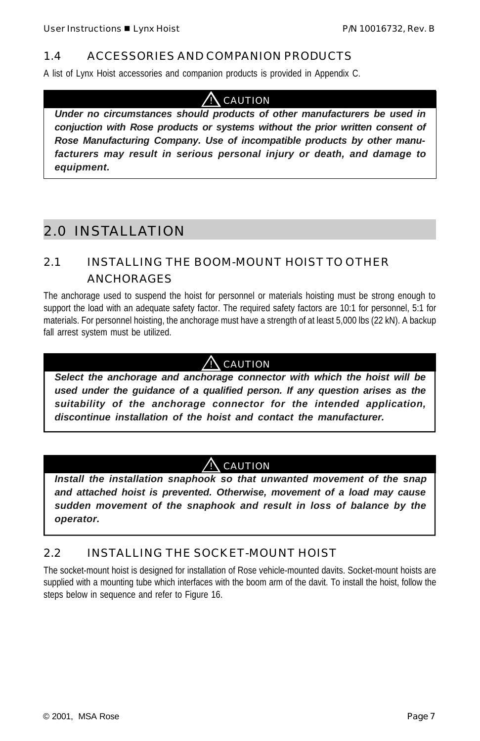### 1.4 ACCESSORIES AND COMPANION PRODUCTS

A list of Lynx Hoist accessories and companion products is provided in Appendix C.

## $\Lambda$  CAUTION

*Under no circumstances should products of other manufacturers be used in conjuction with Rose products or systems without the prior written consent of Rose Manufacturing Company. Use of incompatible products by other manufacturers may result in serious personal injury or death, and damage to equipment.*

## 2.0 INSTALLATION

### 2.1 INSTALLING THE BOOM-MOUNT HOIST TO OTHER ANCHORAGES

The anchorage used to suspend the hoist for personnel or materials hoisting must be strong enough to support the load with an adequate safety factor. The required safety factors are 10:1 for personnel, 5:1 for materials. For personnel hoisting, the anchorage must have a strength of at least 5,000 lbs (22 kN). A backup fall arrest system must be utilized.

### ! CAUTION

*Select the anchorage and anchorage connector with which the hoist will be used under the guidance of a qualified person. If any question arises as the suitability of the anchorage connector for the intended application, discontinue installation of the hoist and contact the manufacturer.*

### $\bigwedge$  caution

*Install the installation snaphook so that unwanted movement of the snap and attached hoist is prevented. Otherwise, movement of a load may cause sudden movement of the snaphook and result in loss of balance by the operator.*

### 2.2 INSTALLING THE SOCKET-MOUNT HOIST

The socket-mount hoist is designed for installation of Rose vehicle-mounted davits. Socket-mount hoists are supplied with a mounting tube which interfaces with the boom arm of the davit. To install the hoist, follow the steps below in sequence and refer to Figure 16.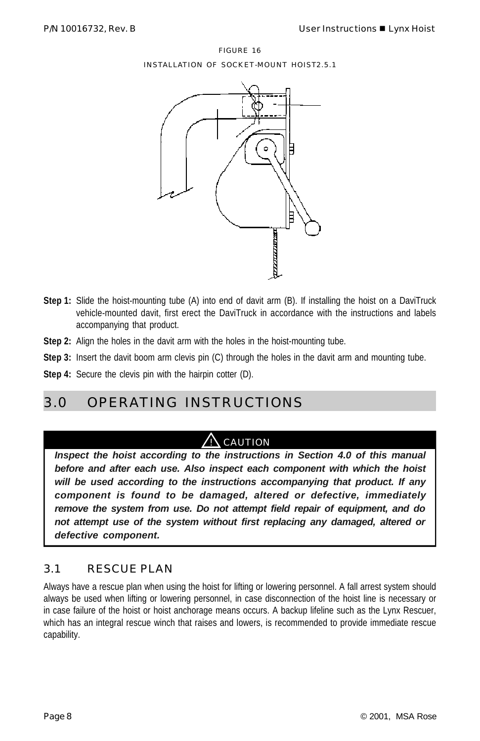FIGURE 16 INSTALLATION OF SOCKET-MOUNT HOIST2.5.1



- **Step 1:** Slide the hoist-mounting tube (A) into end of davit arm (B). If installing the hoist on a DaviTruck vehicle-mounted davit, first erect the DaviTruck in accordance with the instructions and labels accompanying that product.
- **Step 2:** Align the holes in the davit arm with the holes in the hoist-mounting tube.
- **Step 3:** Insert the davit boom arm clevis pin (C) through the holes in the davit arm and mounting tube.
- **Step 4:** Secure the clevis pin with the hairpin cotter (D).

## 3.0 OPERATING INSTRUCTIONS

### $\bigwedge$  CAUTION

*Inspect the hoist according to the instructions in Section 4.0 of this manual before and after each use. Also inspect each component with which the hoist will be used according to the instructions accompanying that product. If any component is found to be damaged, altered or defective, immediately remove the system from use. Do not attempt field repair of equipment, and do not attempt use of the system without first replacing any damaged, altered or defective component.*

### 3.1 RESCUE PLAN

Always have a rescue plan when using the hoist for lifting or lowering personnel. A fall arrest system should always be used when lifting or lowering personnel, in case disconnection of the hoist line is necessary or in case failure of the hoist or hoist anchorage means occurs. A backup lifeline such as the Lynx Rescuer, which has an integral rescue winch that raises and lowers, is recommended to provide immediate rescue capability.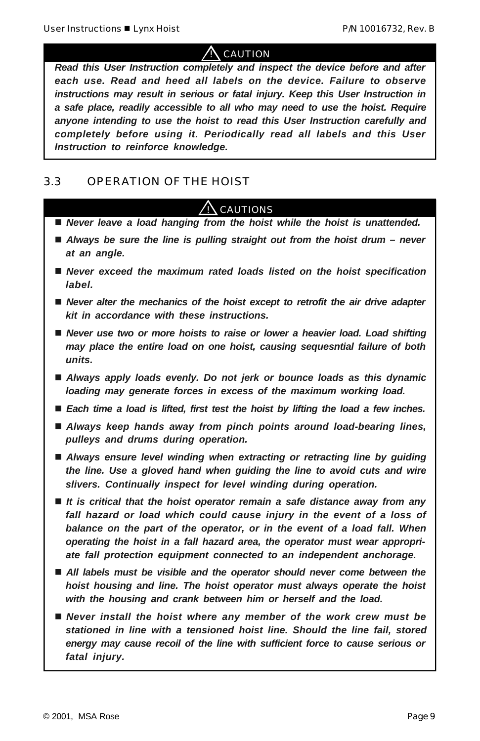$\Lambda$  caution

*Read this User Instruction completely and inspect the device before and after each use. Read and heed all labels on the device. Failure to observe instructions may result in serious or fatal injury. Keep this User Instruction in a safe place, readily accessible to all who may need to use the hoist. Require anyone intending to use the hoist to read this User Instruction carefully and completely before using it. Periodically read all labels and this User Instruction to reinforce knowledge.*

### 3.3 OPERATION OF THE HOIST

# **CAUTIONS**

- Never leave a load hanging from the hoist while the hoist is unattended.
- *Always be sure the line is pulling straight out from the hoist drum never at an angle.*
- Never exceed the maximum rated loads listed on the hoist specification *label.*
- Never alter the mechanics of the hoist except to retrofit the air drive adapter *kit in accordance with these instructions.*
- Never use two or more hoists to raise or lower a heavier load. Load shifting *may place the entire load on one hoist, causing sequesntial failure of both units.*
- *Always apply loads evenly. Do not jerk or bounce loads as this dynamic loading may generate forces in excess of the maximum working load.*
- *Each time a load is lifted, first test the hoist by lifting the load a few inches.*
- Always keep hands away from pinch points around load-bearing lines, *pulleys and drums during operation.*
- Always ensure level winding when extracting or retracting line by guiding *the line. Use a gloved hand when guiding the line to avoid cuts and wire slivers. Continually inspect for level winding during operation.*
- *It is critical that the hoist operator remain a safe distance away from any fall hazard or load which could cause injury in the event of a loss of balance on the part of the operator, or in the event of a load fall. When operating the hoist in a fall hazard area, the operator must wear appropriate fall protection equipment connected to an independent anchorage.*
- All labels must be visible and the operator should never come between the *hoist housing and line. The hoist operator must always operate the hoist with the housing and crank between him or herself and the load.*
- Never install the hoist where any member of the work crew must be *stationed in line with a tensioned hoist line. Should the line fail, stored energy may cause recoil of the line with sufficient force to cause serious or fatal injury.*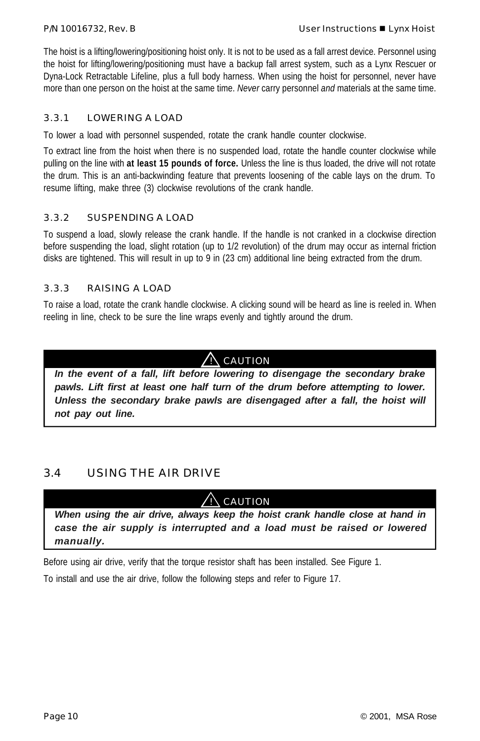The hoist is a lifting/lowering/positioning hoist only. It is not to be used as a fall arrest device. Personnel using the hoist for lifting/lowering/positioning must have a backup fall arrest system, such as a Lynx Rescuer or Dyna-Lock Retractable Lifeline, plus a full body harness. When using the hoist for personnel, never have more than one person on the hoist at the same time. *Never* carry personnel *and* materials at the same time.

### 3.3.1 LOWERING A LOAD

To lower a load with personnel suspended, rotate the crank handle counter clockwise.

To extract line from the hoist when there is no suspended load, rotate the handle counter clockwise while pulling on the line with **at least 15 pounds of force.** Unless the line is thus loaded, the drive will not rotate the drum. This is an anti-backwinding feature that prevents loosening of the cable lays on the drum. To resume lifting, make three (3) clockwise revolutions of the crank handle.

#### 3.3.2 SUSPENDING A LOAD

To suspend a load, slowly release the crank handle. If the handle is not cranked in a clockwise direction before suspending the load, slight rotation (up to 1/2 revolution) of the drum may occur as internal friction disks are tightened. This will result in up to 9 in (23 cm) additional line being extracted from the drum.

#### 3.3.3 RAISING A LOAD

To raise a load, rotate the crank handle clockwise. A clicking sound will be heard as line is reeled in. When reeling in line, check to be sure the line wraps evenly and tightly around the drum.

### $\overline{\text{N}}$  Caution

*In the event of a fall, lift before lowering to disengage the secondary brake pawls. Lift first at least one half turn of the drum before attempting to lower. Unless the secondary brake pawls are disengaged after a fall, the hoist will not pay out line.*

### 3.4 USING THE AIR DRIVE

 $\sqrt{N}$  caution

*When using the air drive, always keep the hoist crank handle close at hand in case the air supply is interrupted and a load must be raised or lowered manually.*

Before using air drive, verify that the torque resistor shaft has been installed. See Figure 1.

To install and use the air drive, follow the following steps and refer to Figure 17.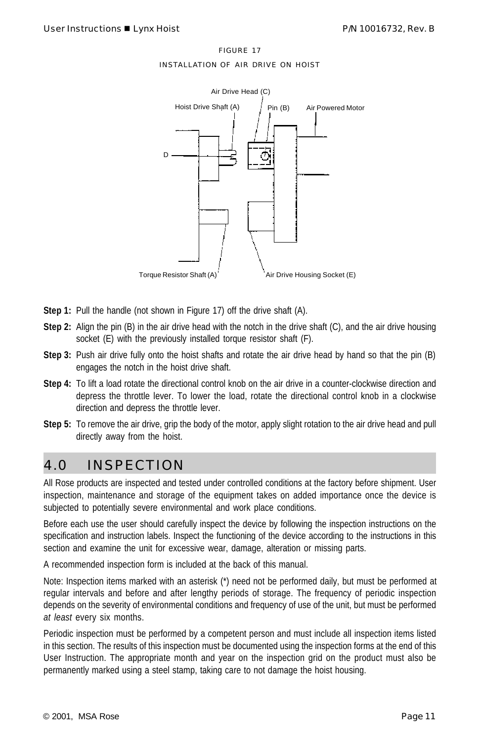INSTALLATION OF AIR DRIVE ON HOIST



- **Step 1:** Pull the handle (not shown in Figure 17) off the drive shaft (A).
- **Step 2:** Align the pin (B) in the air drive head with the notch in the drive shaft (C), and the air drive housing socket (E) with the previously installed torque resistor shaft (F).
- **Step 3:** Push air drive fully onto the hoist shafts and rotate the air drive head by hand so that the pin (B) engages the notch in the hoist drive shaft.
- **Step 4:** To lift a load rotate the directional control knob on the air drive in a counter-clockwise direction and depress the throttle lever. To lower the load, rotate the directional control knob in a clockwise direction and depress the throttle lever.
- **Step 5:** To remove the air drive, grip the body of the motor, apply slight rotation to the air drive head and pull directly away from the hoist.

### 4.0 INSPECTION

All Rose products are inspected and tested under controlled conditions at the factory before shipment. User inspection, maintenance and storage of the equipment takes on added importance once the device is subjected to potentially severe environmental and work place conditions.

Before each use the user should carefully inspect the device by following the inspection instructions on the specification and instruction labels. Inspect the functioning of the device according to the instructions in this section and examine the unit for excessive wear, damage, alteration or missing parts.

A recommended inspection form is included at the back of this manual.

Note: Inspection items marked with an asterisk (\*) need not be performed daily, but must be performed at regular intervals and before and after lengthy periods of storage. The frequency of periodic inspection depends on the severity of environmental conditions and frequency of use of the unit, but must be performed *at least* every six months.

Periodic inspection must be performed by a competent person and must include all inspection items listed in this section. The results of this inspection must be documented using the inspection forms at the end of this User Instruction. The appropriate month and year on the inspection grid on the product must also be permanently marked using a steel stamp, taking care to not damage the hoist housing.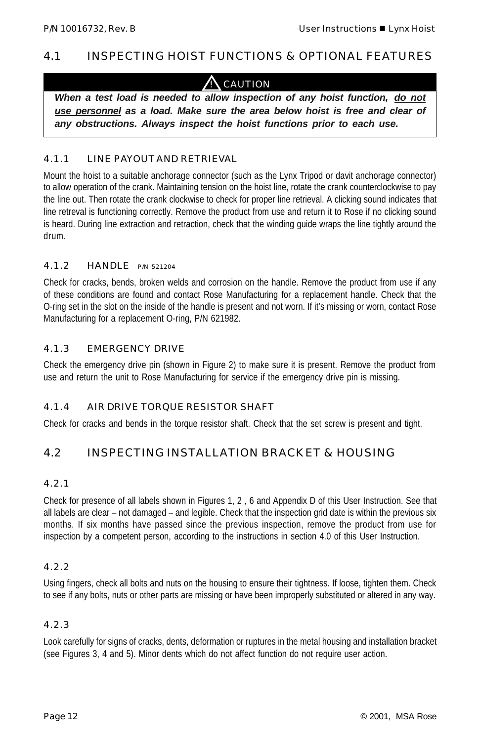### 4.1 INSPECTING HOIST FUNCTIONS & OPTIONAL FEATURES

### **CAUTION**

*When a test load is needed to allow inspection of any hoist function, do not use personnel as a load. Make sure the area below hoist is free and clear of any obstructions. Always inspect the hoist functions prior to each use.*

#### 4.1.1 LINE PAYOUT AND RETRIEVAL

Mount the hoist to a suitable anchorage connector (such as the Lynx Tripod or davit anchorage connector) to allow operation of the crank. Maintaining tension on the hoist line, rotate the crank counterclockwise to pay the line out. Then rotate the crank clockwise to check for proper line retrieval. A clicking sound indicates that line retreval is functioning correctly. Remove the product from use and return it to Rose if no clicking sound is heard. During line extraction and retraction, check that the winding guide wraps the line tightly around the drum.

#### 4.1.2 HANDLE P/N 521204

Check for cracks, bends, broken welds and corrosion on the handle. Remove the product from use if any of these conditions are found and contact Rose Manufacturing for a replacement handle. Check that the O-ring set in the slot on the inside of the handle is present and not worn. If it's missing or worn, contact Rose Manufacturing for a replacement O-ring, P/N 621982.

#### 4.1.3 EMERGENCY DRIVE

Check the emergency drive pin (shown in Figure 2) to make sure it is present. Remove the product from use and return the unit to Rose Manufacturing for service if the emergency drive pin is missing.

### 4.1.4 AIR DRIVE TORQUE RESISTOR SHAFT

Check for cracks and bends in the torque resistor shaft. Check that the set screw is present and tight.

### 4.2 INSPECTING INSTALLATION BRACKET & HOUSING

#### 4.2.1

Check for presence of all labels shown in Figures 1, 2 , 6 and Appendix D of this User Instruction. See that all labels are clear – not damaged – and legible. Check that the inspection grid date is within the previous six months. If six months have passed since the previous inspection, remove the product from use for inspection by a competent person, according to the instructions in section 4.0 of this User Instruction.

#### 4.2.2

Using fingers, check all bolts and nuts on the housing to ensure their tightness. If loose, tighten them. Check to see if any bolts, nuts or other parts are missing or have been improperly substituted or altered in any way.

#### 4.2.3

Look carefully for signs of cracks, dents, deformation or ruptures in the metal housing and installation bracket (see Figures 3, 4 and 5). Minor dents which do not affect function do not require user action.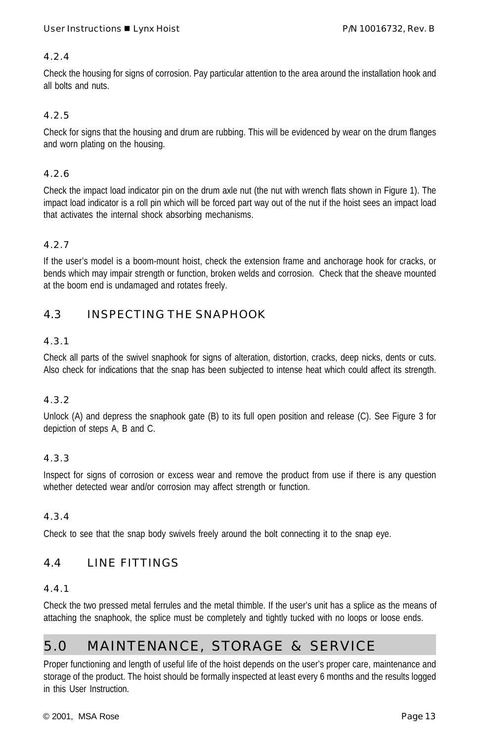### 4.2.4

Check the housing for signs of corrosion. Pay particular attention to the area around the installation hook and all bolts and nuts.

#### 4.2.5

Check for signs that the housing and drum are rubbing. This will be evidenced by wear on the drum flanges and worn plating on the housing.

#### 4.2.6

Check the impact load indicator pin on the drum axle nut (the nut with wrench flats shown in Figure 1). The impact load indicator is a roll pin which will be forced part way out of the nut if the hoist sees an impact load that activates the internal shock absorbing mechanisms.

### 4.2.7

If the user's model is a boom-mount hoist, check the extension frame and anchorage hook for cracks, or bends which may impair strength or function, broken welds and corrosion. Check that the sheave mounted at the boom end is undamaged and rotates freely.

### 4.3 INSPECTING THE SNAPHOOK

#### 4.3.1

Check all parts of the swivel snaphook for signs of alteration, distortion, cracks, deep nicks, dents or cuts. Also check for indications that the snap has been subjected to intense heat which could affect its strength.

### 4.3.2

Unlock (A) and depress the snaphook gate (B) to its full open position and release (C). See Figure 3 for depiction of steps A, B and C.

### 4.3.3

Inspect for signs of corrosion or excess wear and remove the product from use if there is any question whether detected wear and/or corrosion may affect strength or function.

#### 4.3.4

Check to see that the snap body swivels freely around the bolt connecting it to the snap eye.

### 4.4 LINE FITTINGS

#### 4.4.1

Check the two pressed metal ferrules and the metal thimble. If the user's unit has a splice as the means of attaching the snaphook, the splice must be completely and tightly tucked with no loops or loose ends.

## 5.0 MAINTENANCE, STORAGE & SERVICE

Proper functioning and length of useful life of the hoist depends on the user's proper care, maintenance and storage of the product. The hoist should be formally inspected at least every 6 months and the results logged in this User Instruction.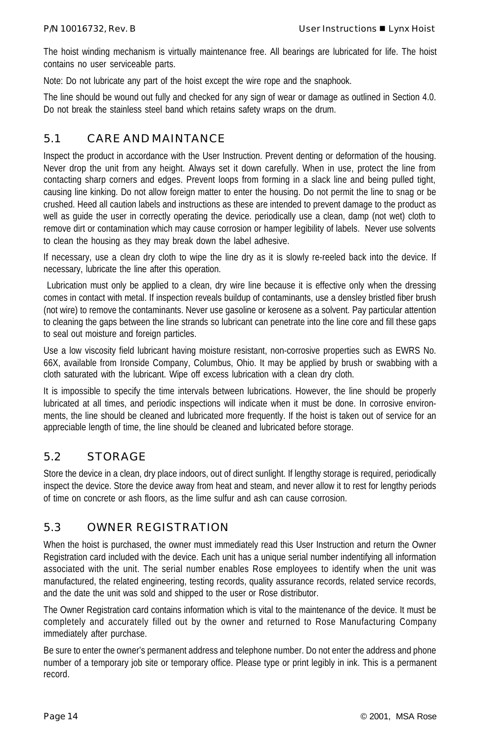The hoist winding mechanism is virtually maintenance free. All bearings are lubricated for life. The hoist contains no user serviceable parts.

Note: Do not lubricate any part of the hoist except the wire rope and the snaphook.

The line should be wound out fully and checked for any sign of wear or damage as outlined in Section 4.0. Do not break the stainless steel band which retains safety wraps on the drum.

### 5.1 CARE AND MAINTANCE

Inspect the product in accordance with the User Instruction. Prevent denting or deformation of the housing. Never drop the unit from any height. Always set it down carefully. When in use, protect the line from contacting sharp corners and edges. Prevent loops from forming in a slack line and being pulled tight, causing line kinking. Do not allow foreign matter to enter the housing. Do not permit the line to snag or be crushed. Heed all caution labels and instructions as these are intended to prevent damage to the product as well as guide the user in correctly operating the device. periodically use a clean, damp (not wet) cloth to remove dirt or contamination which may cause corrosion or hamper legibility of labels. Never use solvents to clean the housing as they may break down the label adhesive.

If necessary, use a clean dry cloth to wipe the line dry as it is slowly re-reeled back into the device. If necessary, lubricate the line after this operation.

 Lubrication must only be applied to a clean, dry wire line because it is effective only when the dressing comes in contact with metal. If inspection reveals buildup of contaminants, use a densley bristled fiber brush (not wire) to remove the contaminants. Never use gasoline or kerosene as a solvent. Pay particular attention to cleaning the gaps between the line strands so lubricant can penetrate into the line core and fill these gaps to seal out moisture and foreign particles.

Use a low viscosity field lubricant having moisture resistant, non-corrosive properties such as EWRS No. 66X, available from Ironside Company, Columbus, Ohio. It may be applied by brush or swabbing with a cloth saturated with the lubricant. Wipe off excess lubrication with a clean dry cloth.

It is impossible to specify the time intervals between lubrications. However, the line should be properly lubricated at all times, and periodic inspections will indicate when it must be done. In corrosive environments, the line should be cleaned and lubricated more frequently. If the hoist is taken out of service for an appreciable length of time, the line should be cleaned and lubricated before storage.

### 5.2 STORAGE

Store the device in a clean, dry place indoors, out of direct sunlight. If lengthy storage is required, periodically inspect the device. Store the device away from heat and steam, and never allow it to rest for lengthy periods of time on concrete or ash floors, as the lime sulfur and ash can cause corrosion.

### 5.3 OWNER REGISTRATION

When the hoist is purchased, the owner must immediately read this User Instruction and return the Owner Registration card included with the device. Each unit has a unique serial number indentifying all information associated with the unit. The serial number enables Rose employees to identify when the unit was manufactured, the related engineering, testing records, quality assurance records, related service records, and the date the unit was sold and shipped to the user or Rose distributor.

The Owner Registration card contains information which is vital to the maintenance of the device. It must be completely and accurately filled out by the owner and returned to Rose Manufacturing Company immediately after purchase.

Be sure to enter the owner's permanent address and telephone number. Do not enter the address and phone number of a temporary job site or temporary office. Please type or print legibly in ink. This is a permanent record.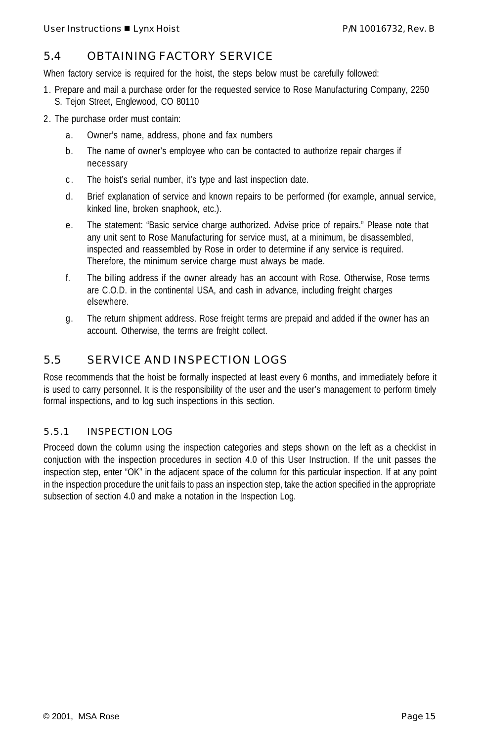### 5.4 OBTAINING FACTORY SERVICE

When factory service is required for the hoist, the steps below must be carefully followed:

- 1. Prepare and mail a purchase order for the requested service to Rose Manufacturing Company, 2250 S. Tejon Street, Englewood, CO 80110
- 2. The purchase order must contain:
	- a. Owner's name, address, phone and fax numbers
	- b. The name of owner's employee who can be contacted to authorize repair charges if necessary
	- c . The hoist's serial number, it's type and last inspection date.
	- d. Brief explanation of service and known repairs to be performed (for example, annual service, kinked line, broken snaphook, etc.).
	- e. The statement: "Basic service charge authorized. Advise price of repairs." Please note that any unit sent to Rose Manufacturing for service must, at a minimum, be disassembled, inspected and reassembled by Rose in order to determine if any service is required. Therefore, the minimum service charge must always be made.
	- f. The billing address if the owner already has an account with Rose. Otherwise, Rose terms are C.O.D. in the continental USA, and cash in advance, including freight charges elsewhere.
	- g. The return shipment address. Rose freight terms are prepaid and added if the owner has an account. Otherwise, the terms are freight collect.

### 5.5 SERVICE AND INSPECTION LOGS

Rose recommends that the hoist be formally inspected at least every 6 months, and immediately before it is used to carry personnel. It is the responsibility of the user and the user's management to perform timely formal inspections, and to log such inspections in this section.

### 5.5.1 INSPECTION LOG

Proceed down the column using the inspection categories and steps shown on the left as a checklist in conjuction with the inspection procedures in section 4.0 of this User Instruction. If the unit passes the inspection step, enter "OK" in the adjacent space of the column for this particular inspection. If at any point in the inspection procedure the unit fails to pass an inspection step, take the action specified in the appropriate subsection of section 4.0 and make a notation in the Inspection Log.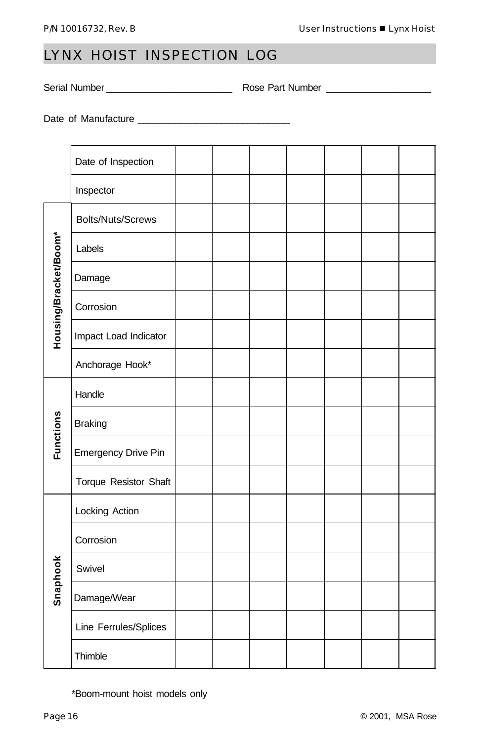## LYNX HOIST INSPECTION LOG

Serial Number \_\_\_\_\_\_\_\_\_\_\_\_\_\_\_\_\_\_\_\_\_\_\_\_ Rose Part Number \_\_\_\_\_\_\_\_\_\_\_\_\_\_\_\_\_\_\_\_

Date of Manufacture \_\_\_\_\_\_\_\_\_\_\_\_\_\_\_\_\_\_\_\_\_\_\_\_\_\_\_\_\_

|                       | Date of Inspection         |  |  |  |  |
|-----------------------|----------------------------|--|--|--|--|
|                       | Inspector                  |  |  |  |  |
| Housing/Bracket/Boom* | <b>Bolts/Nuts/Screws</b>   |  |  |  |  |
|                       | Labels                     |  |  |  |  |
|                       | Damage                     |  |  |  |  |
|                       | Corrosion                  |  |  |  |  |
|                       | Impact Load Indicator      |  |  |  |  |
|                       | Anchorage Hook*            |  |  |  |  |
| <b>Functions</b>      | Handle                     |  |  |  |  |
|                       | <b>Braking</b>             |  |  |  |  |
|                       | <b>Emergency Drive Pin</b> |  |  |  |  |
|                       | Torque Resistor Shaft      |  |  |  |  |
| Snaphook              | Locking Action             |  |  |  |  |
|                       | Corrosion                  |  |  |  |  |
|                       | Swivel                     |  |  |  |  |
|                       | Damage/Wear                |  |  |  |  |
|                       | Line Ferrules/Splices      |  |  |  |  |
|                       | Thimble                    |  |  |  |  |

\*Boom-mount hoist models only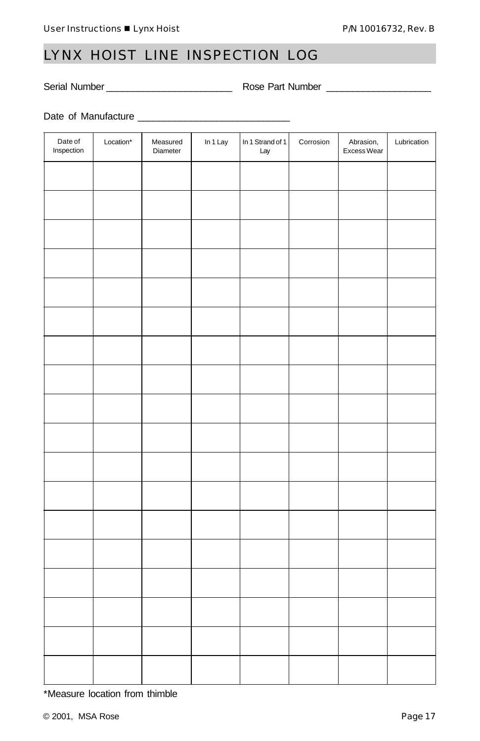## LYNX HOIST LINE INSPECTION LOG

Serial Number \_\_\_\_\_\_\_\_\_\_\_\_\_\_\_\_\_\_\_\_\_\_\_\_ Rose Part Number \_\_\_\_\_\_\_\_\_\_\_\_\_\_\_\_\_\_\_\_

Date of Manufacture \_\_\_\_\_\_\_\_\_\_\_\_\_\_\_\_\_\_\_\_\_\_\_\_\_\_\_\_\_

| Date of<br>Inspection | Location* | Measured<br>Diameter | In $1$ Lay | In 1 Strand of 1<br>Lay | Corrosion | Abrasion,<br>Excess Wear | Lubrication |
|-----------------------|-----------|----------------------|------------|-------------------------|-----------|--------------------------|-------------|
|                       |           |                      |            |                         |           |                          |             |
|                       |           |                      |            |                         |           |                          |             |
|                       |           |                      |            |                         |           |                          |             |
|                       |           |                      |            |                         |           |                          |             |
|                       |           |                      |            |                         |           |                          |             |
|                       |           |                      |            |                         |           |                          |             |
|                       |           |                      |            |                         |           |                          |             |
|                       |           |                      |            |                         |           |                          |             |
|                       |           |                      |            |                         |           |                          |             |
|                       |           |                      |            |                         |           |                          |             |
|                       |           |                      |            |                         |           |                          |             |
|                       |           |                      |            |                         |           |                          |             |
|                       |           |                      |            |                         |           |                          |             |
|                       |           |                      |            |                         |           |                          |             |
|                       |           |                      |            |                         |           |                          |             |
|                       |           |                      |            |                         |           |                          |             |
|                       |           |                      |            |                         |           |                          |             |
|                       |           |                      |            |                         |           |                          |             |

\*Measure location from thimble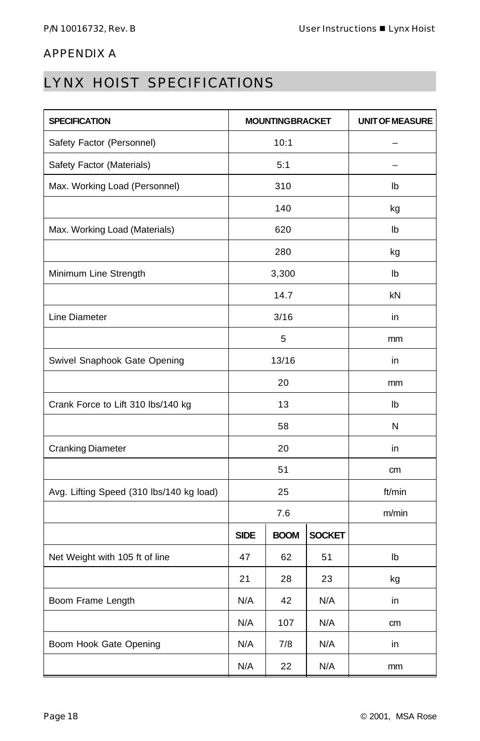### APPENDIX A

## LYNX HOIST SPECIFICATIONS

| <b>SPECIFICATION</b>                     |             | <b>MOUNTINGBRACKET</b> | <b>UNIT OF MEASURE</b> |    |  |
|------------------------------------------|-------------|------------------------|------------------------|----|--|
| Safety Factor (Personnel)                | 10:1        |                        |                        |    |  |
| Safety Factor (Materials)                |             | 5:1                    |                        |    |  |
| Max. Working Load (Personnel)            |             | 310                    | Ib                     |    |  |
|                                          |             | 140                    |                        | kg |  |
| Max. Working Load (Materials)            |             | 620                    |                        | Ib |  |
|                                          |             | 280                    |                        | kg |  |
| Minimum Line Strength                    |             | 3,300                  |                        | Ib |  |
|                                          |             | 14.7                   |                        | kN |  |
| Line Diameter                            |             | 3/16                   |                        | in |  |
|                                          |             | 5                      |                        | mm |  |
| Swivel Snaphook Gate Opening             | 13/16       |                        |                        | in |  |
|                                          | 20          |                        | mm                     |    |  |
| Crank Force to Lift 310 lbs/140 kg       |             | 13                     |                        | Ib |  |
|                                          | 58          |                        | N                      |    |  |
| <b>Cranking Diameter</b>                 | 20          |                        | in                     |    |  |
|                                          | 51          |                        | cm                     |    |  |
| Avg. Lifting Speed (310 lbs/140 kg load) | 25          |                        | ft/min                 |    |  |
|                                          | 7.6         |                        | m/min                  |    |  |
|                                          | <b>SIDE</b> | <b>BOOM</b>            | <b>SOCKET</b>          |    |  |
| Net Weight with 105 ft of line           | 47          | 62                     | 51                     | Ib |  |
|                                          | 21          | 28                     | 23                     | kg |  |
| Boom Frame Length                        | N/A         | 42                     | N/A                    | in |  |
|                                          | N/A         | 107                    | N/A                    | cm |  |
| Boom Hook Gate Opening                   | N/A         | 7/8                    | N/A                    | in |  |
|                                          | N/A         | 22                     | N/A                    | mm |  |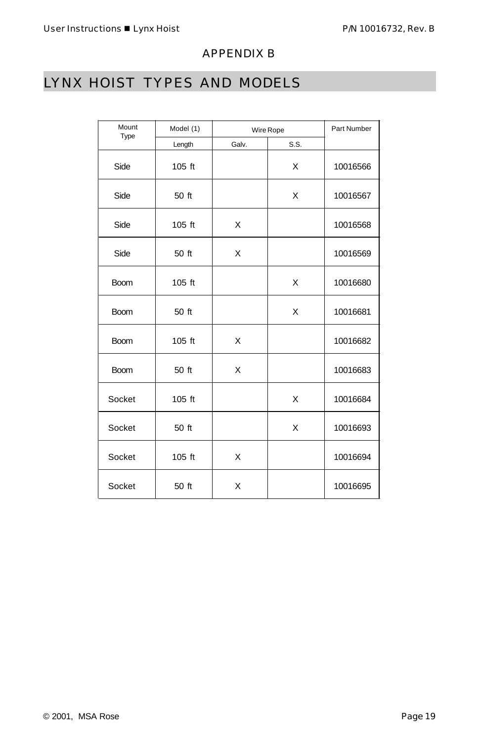### APPENDIX B

# LYNX HOIST TYPES AND MODELS

| Mount<br>Type | Model (1) | Wire Rope | Part Number |          |
|---------------|-----------|-----------|-------------|----------|
|               | Length    | Galv.     | S.S.        |          |
| Side          | 105 ft    |           | X           | 10016566 |
| Side          | 50 ft     |           | X           | 10016567 |
| Side          | 105 ft    | X         |             | 10016568 |
| Side          | 50 ft     | X         |             | 10016569 |
| <b>Boom</b>   | $105$ ft  |           | X           | 10016680 |
| <b>Boom</b>   | 50 ft     |           | X           | 10016681 |
| <b>Boom</b>   | 105 ft    | X         |             | 10016682 |
| <b>Boom</b>   | 50 ft     | X         |             | 10016683 |
| Socket        | 105 ft    |           | X           | 10016684 |
| Socket        | 50 ft     |           | X           | 10016693 |
| Socket        | 105 ft    | X         |             | 10016694 |
| Socket        | 50 ft     | X         |             | 10016695 |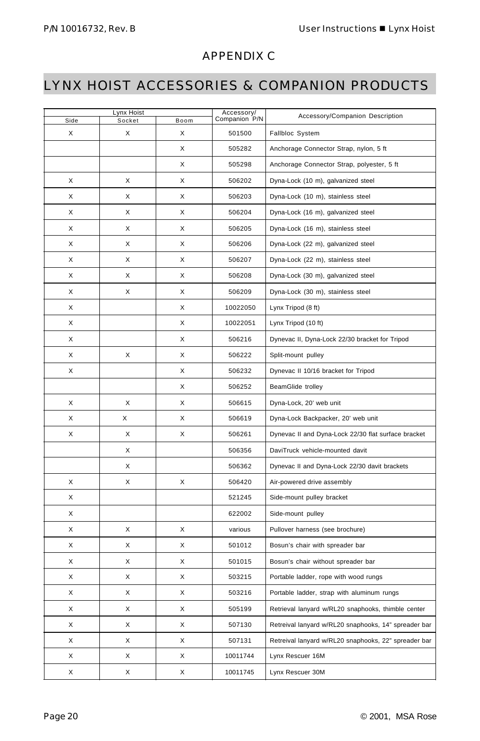### APPENDIX C

## LYNX HOIST ACCESSORIES & COMPANION PRODUCTS

| Lynx Hoist |        |      | Accessory/    | Accessory/Companion Description                      |
|------------|--------|------|---------------|------------------------------------------------------|
| Side       | Socket | Boom | Companion P/N |                                                      |
| X          | X      | X    | 501500        | Fallbloc System                                      |
|            |        | Х    | 505282        | Anchorage Connector Strap, nylon, 5 ft               |
|            |        | X    | 505298        | Anchorage Connector Strap, polyester, 5 ft           |
| Х          | X      | X    | 506202        | Dyna-Lock (10 m), galvanized steel                   |
| X          | X      | X    | 506203        | Dyna-Lock (10 m), stainless steel                    |
| X          | X      | X    | 506204        | Dyna-Lock (16 m), galvanized steel                   |
| Х          | X      | X    | 506205        | Dyna-Lock (16 m), stainless steel                    |
| X          | X      | X    | 506206        | Dyna-Lock (22 m), galvanized steel                   |
| X          | X      | X    | 506207        | Dyna-Lock (22 m), stainless steel                    |
| Х          | X      | X    | 506208        | Dyna-Lock (30 m), galvanized steel                   |
| X          | X      | X    | 506209        | Dyna-Lock (30 m), stainless steel                    |
| X          |        | X    | 10022050      | Lynx Tripod (8 ft)                                   |
| Х          |        | X    | 10022051      | Lynx Tripod (10 ft)                                  |
| X          |        | X    | 506216        | Dynevac II, Dyna-Lock 22/30 bracket for Tripod       |
| X          | X      | X    | 506222        | Split-mount pulley                                   |
| X          |        | X    | 506232        | Dynevac II 10/16 bracket for Tripod                  |
|            |        | X    | 506252        | BeamGlide trolley                                    |
| X          | X      | X    | 506615        | Dyna-Lock, 20' web unit                              |
| X          | Χ      | X    | 506619        | Dyna-Lock Backpacker, 20' web unit                   |
| X          | Χ      | X    | 506261        | Dynevac II and Dyna-Lock 22/30 flat surface bracket  |
|            | X      |      | 506356        | DaviTruck vehicle-mounted davit                      |
|            | Χ      |      | 506362        | Dynevac II and Dyna-Lock 22/30 davit brackets        |
| X          | X      | X    | 506420        | Air-powered drive assembly                           |
| х          |        |      | 521245        | Side-mount pulley bracket                            |
| X          |        |      | 622002        | Side-mount pulley                                    |
| X          | X      | X    | various       | Pullover harness (see brochure)                      |
| X          | X      | X    | 501012        | Bosun's chair with spreader bar                      |
| X          | X      | X    | 501015        | Bosun's chair without spreader bar                   |
| X          | X      | X    | 503215        | Portable ladder, rope with wood rungs                |
| X          | X      | X    | 503216        | Portable ladder, strap with aluminum rungs           |
| X          | X      | X    | 505199        | Retrieval lanyard w/RL20 snaphooks, thimble center   |
| X          | х      | Х    | 507130        | Retreival lanyard w/RL20 snaphooks, 14" spreader bar |
| X          | X      | X    | 507131        | Retreival lanyard w/RL20 snaphooks, 22" spreader bar |
| X          | X      | X    | 10011744      | Lynx Rescuer 16M                                     |
| Х          | Χ      | Х    | 10011745      | Lynx Rescuer 30M                                     |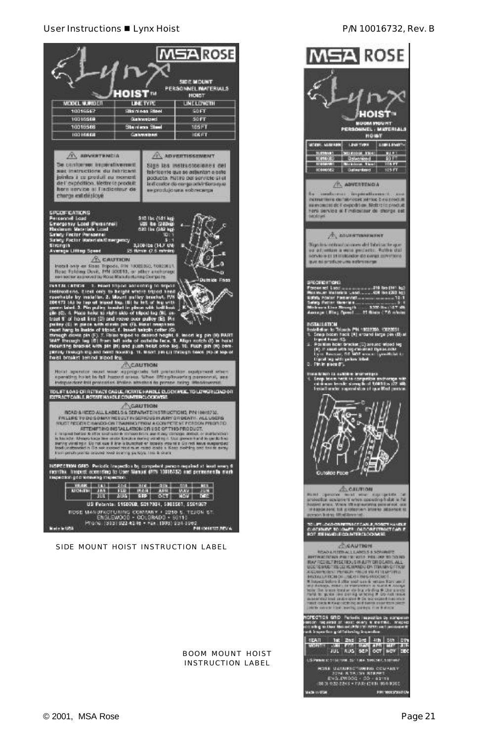#### User Instructions ■ Lynx Hoist P/N 10016732, Rev. B



BOOM MOUNT HOIST INSTRUCTION LABEL

Made in Otlet

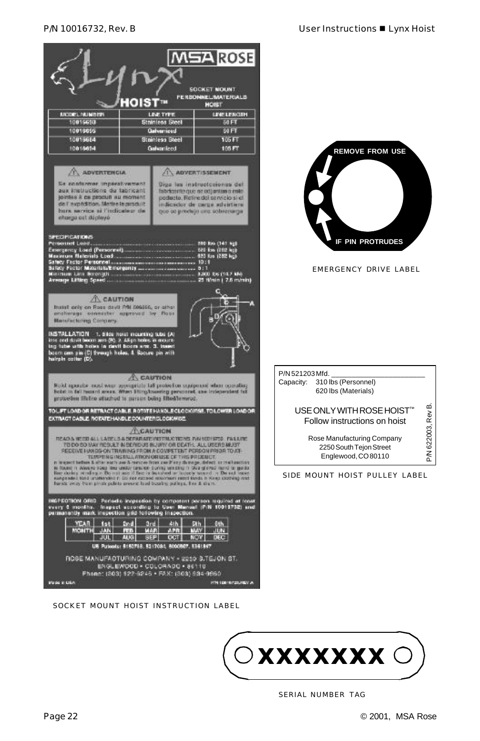

SOCKET MOUNT HOIST INSTRUCTION LABEL



SIDE MOUNT HOIST PULLEY LABEL



SERIAL NUMBER TAG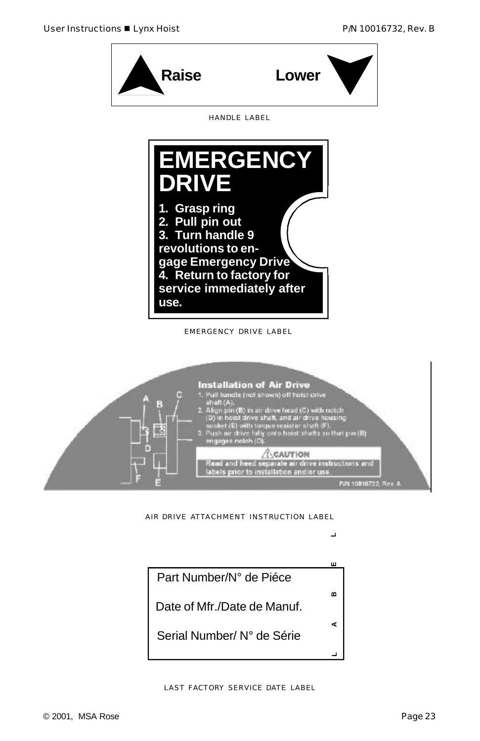



AIR DRIVE ATTACHMENT INSTRUCTION LABEL

 $\overline{\phantom{0}}$ 

ш

m

⋖

⊐

Part Number/N° de Piéce

Date of Mfr./Date de Manuf.

Serial Number/ N° de Série

LAST FACTORY SERVICE DATE LABEL